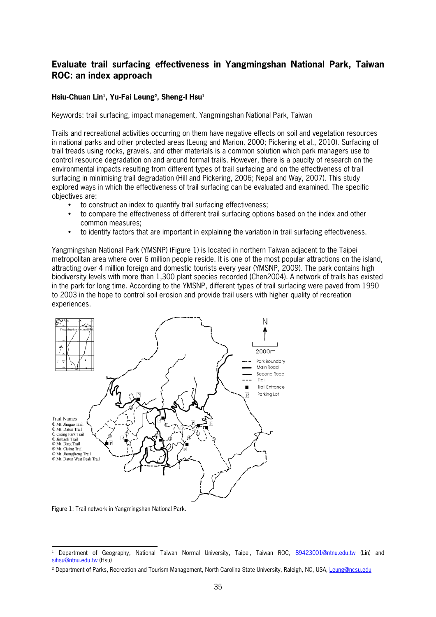## **Evaluate trail surfacing effectiveness in Yangmingshan National Park, Taiwan ROC: an index approach**

## **Hsiu<Chuan Lin<sup>1</sup> , Yu<Fai Leung<sup>2</sup> , Sheng<I Hsu<sup>1</sup>**

Keywords: trail surfacing, impact management, Yangmingshan National Park, Taiwan

Trails and recreational activities occurring on them have negative effects on soil and vegetation resources in national parks and other protected areas (Leung and Marion, 2000; Pickering et al., 2010). Surfacing of trail treads using rocks, gravels, and other materials is a common solution which park managers use to control resource degradation on and around formal trails. However, there is a paucity of research on the environmental impacts resulting from different types of trail surfacing and on the effectiveness of trail surfacing in minimising trail degradation (Hill and Pickering, 2006; Nepal and Way, 2007). This study explored ways in which the effectiveness of trail surfacing can be evaluated and examined. The specific objectives are:

- to construct an index to quantify trail surfacing effectiveness;
- to compare the effectiveness of different trail surfacing options based on the index and other common measures;
- to identify factors that are important in explaining the variation in trail surfacing effectiveness.

Yangmingshan National Park (YMSNP) (Figure 1) is located in northern Taiwan adjacent to the Taipei metropolitan area where over 6 million people reside. It is one of the most popular attractions on the island, attracting over 4 million foreign and domestic tourists every year (YMSNP, 2009). The park contains high biodiversity levels with more than 1,300 plant species recorded (Chen2004). A network of trails has existed in the park for long time. According to the YMSNP, different types of trail surfacing were paved from 1990 to 2003 in the hope to control soil erosion and provide trail users with higher quality of recreation experiences.



Figure 1: Trail network in Yangmingshan National Park.

l 1 Department of Geography, National Taiwan Normal University, Taipei, Taiwan ROC, 89423001@ntnu.edu.tw (Lin) and sihsu@ntnu.edu.tw (Hsu)

<sup>&</sup>lt;sup>2</sup> Department of Parks, Recreation and Tourism Management, North Carolina State University, Raleigh, NC, USA, <u>Leung@ncsu.edu</u>